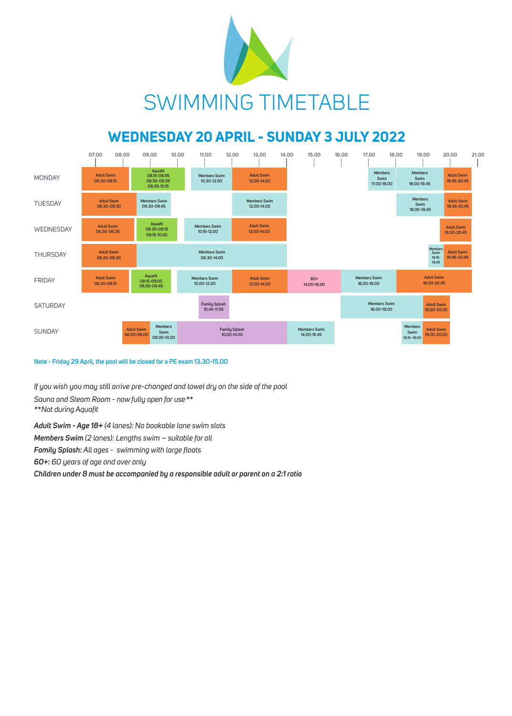## **WEDNESDAY 20 APRIL - SUNDAY 3 JULY 2022**





*If you wish you may still arrive pre-changed and towel dry on the side of the pool*

*Sauna and Steam Room - now fully open for use\*\** 

*\*\*Not during Aquafit* 

*Adult Swim - Age 18+ (4 lanes): No bookable lane swim slots*

*Members Swim (2 lanes): Lengths swim – suitable for all*

*Family Splash: All ages - swimming with large floats*

*60+: 60 years of age and over only*

*Children under 8 must be accompanied by a responsible adult or parent on a 2:1 ratio*

## **Note - Friday 29 April, the pool will be closed for a PE exam 13.30-15.00**